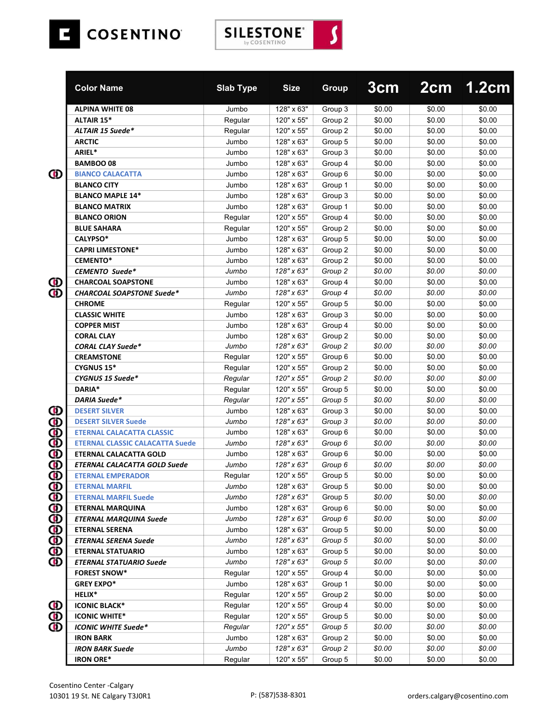

|                   | <b>Color Name</b>                      | <b>Slab Type</b> | <b>Size</b> | <b>Group</b> | 3 <sub>cm</sub> |        | 2cm 1.2cm |
|-------------------|----------------------------------------|------------------|-------------|--------------|-----------------|--------|-----------|
|                   | <b>ALPINA WHITE 08</b>                 | Jumbo            | 128" x 63"  | Group 3      | \$0.00          | \$0.00 | \$0.00    |
|                   | <b>ALTAIR 15*</b>                      | Regular          | 120" x 55"  | Group 2      | \$0.00          | \$0.00 | \$0.00    |
|                   | <b>ALTAIR 15 Suede*</b>                | Regular          | 120" x 55"  | Group 2      | \$0.00          | \$0.00 | \$0.00    |
|                   | <b>ARCTIC</b>                          | Jumbo            | 128" x 63"  | Group 5      | \$0.00          | \$0.00 | \$0.00    |
|                   | ARIEL*                                 | Jumbo            | 128" x 63"  | Group 3      | \$0.00          | \$0.00 | \$0.00    |
|                   | <b>BAMBOO08</b>                        | Jumbo            | 128" x 63"  | Group 4      | \$0.00          | \$0.00 | \$0.00    |
| Ф                 | <b>BIANCO CALACATTA</b>                | Jumbo            | 128" x 63"  | Group 6      | \$0.00          | \$0.00 | \$0.00    |
|                   | <b>BLANCO CITY</b>                     | Jumbo            | 128" x 63"  | Group 1      | \$0.00          | \$0.00 | \$0.00    |
|                   | <b>BLANCO MAPLE 14*</b>                | Jumbo            | 128" x 63"  | Group 3      | \$0.00          | \$0.00 | \$0.00    |
|                   | <b>BLANCO MATRIX</b>                   | Jumbo            | 128" x 63"  | Group 1      | \$0.00          | \$0.00 | \$0.00    |
|                   | <b>BLANCO ORION</b>                    | Regular          | 120" x 55"  | Group 4      | \$0.00          | \$0.00 | \$0.00    |
|                   | <b>BLUE SAHARA</b>                     | Regular          | 120" x 55"  | Group 2      | \$0.00          | \$0.00 | \$0.00    |
|                   | CALYPSO*                               | Jumbo            | 128" x 63"  | Group 5      | \$0.00          | \$0.00 | \$0.00    |
|                   | <b>CAPRI LIMESTONE*</b>                | Jumbo            | 128" x 63"  | Group 2      | \$0.00          | \$0.00 | \$0.00    |
|                   | <b>CEMENTO*</b>                        | Jumbo            | 128" x 63"  | Group 2      | \$0.00          | \$0.00 | \$0.00    |
|                   | <b>CEMENTO Suede*</b>                  | Jumbo            | 128" x 63"  | Group 2      | \$0.00          | \$0.00 | \$0.00    |
| ⅏                 | <b>CHARCOAL SOAPSTONE</b>              | Jumbo            | 128" x 63"  | Group 4      | \$0.00          | \$0.00 | \$0.00    |
| Ф                 | <b>CHARCOAL SOAPSTONE Suede*</b>       | Jumbo            | 128" x 63"  | Group 4      | \$0.00          | \$0.00 | \$0.00    |
|                   | <b>CHROME</b>                          | Regular          | 120" x 55"  | Group 5      | \$0.00          | \$0.00 | \$0.00    |
|                   | <b>CLASSIC WHITE</b>                   | Jumbo            | 128" x 63"  | Group 3      | \$0.00          | \$0.00 | \$0.00    |
|                   | <b>COPPER MIST</b>                     | Jumbo            | 128" x 63"  | Group 4      | \$0.00          | \$0.00 | \$0.00    |
|                   | <b>CORAL CLAY</b>                      | Jumbo            | 128" x 63"  | Group 2      | \$0.00          | \$0.00 | \$0.00    |
|                   | <b>CORAL CLAY Suede*</b>               | Jumbo            | 128" x 63"  | Group 2      | \$0.00          | \$0.00 | \$0.00    |
|                   | <b>CREAMSTONE</b>                      | Regular          | 120" x 55"  | Group 6      | \$0.00          | \$0.00 | \$0.00    |
|                   | <b>CYGNUS 15*</b>                      | Regular          | 120" x 55"  | Group 2      | \$0.00          | \$0.00 | \$0.00    |
|                   | CYGNUS 15 Suede*                       | Regular          | 120" x 55"  | Group 2      | \$0.00          | \$0.00 | \$0.00    |
|                   | DARIA*                                 | Regular          | 120" x 55"  | Group 5      | \$0.00          | \$0.00 | \$0.00    |
|                   | DARIA Suede*                           | Regular          | 120" x 55"  | Group 5      | \$0.00          | \$0.00 | \$0.00    |
| Φ                 | <b>DESERT SILVER</b>                   | Jumbo            | 128" x 63"  | Group 3      | \$0.00          | \$0.00 | \$0.00    |
|                   | <b>DESERT SILVER Suede</b>             | Jumbo            | 128" x 63"  | Group 3      | \$0.00          | \$0.00 | \$0.00    |
| 88998             | <b>ETERNAL CALACATTA CLASSIC</b>       | Jumbo            | 128" x 63"  | Group 6      | \$0.00          | \$0.00 | \$0.00    |
|                   | <b>ETERNAL CLASSIC CALACATTA Suede</b> | Jumbo            | 128" x 63"  | Group 6      | \$0.00          | \$0.00 | \$0.00    |
|                   | <b>ETERNAL CALACATTA GOLD</b>          | Jumbo            | 128" x 63"  | Group 6      | \$0.00          | \$0.00 | \$0.00    |
|                   | <b>ETERNAL CALACATTA GOLD Suede</b>    | Jumbo            | 128" x 63"  | Group 6      | \$0.00          | \$0.00 | \$0.00    |
| ወ                 | <b>ETERNAL EMPERADOR</b>               | Regular          | 120" x 55"  | Group 5      | \$0.00          | \$0.00 | \$0.00    |
|                   | <b>ETERNAL MARFIL</b>                  | Jumbo            | 128" x 63"  | Group 5      | \$0.00          | \$0.00 | \$0.00    |
|                   | <b>ETERNAL MARFIL Suede</b>            | Jumbo            | 128" x 63"  | Group 5      | \$0.00          | \$0.00 | \$0.00    |
| 88888888          | <b>ETERNAL MARQUINA</b>                | Jumbo            | 128" x 63"  | Group 6      | \$0.00          | \$0.00 | \$0.00    |
|                   | <b>ETERNAL MARQUINA Suede</b>          | Jumbo            | 128" x 63"  | Group 6      | \$0.00          | \$0.00 | \$0.00    |
|                   | <b>ETERNAL SERENA</b>                  | Jumbo            | 128" x 63"  | Group 5      | \$0.00          | \$0.00 | \$0.00    |
|                   | <b>ETERNAL SERENA Suede</b>            | Jumbo            | 128" x 63"  | Group 5      | \$0.00          | \$0.00 | \$0.00    |
|                   | <b>ETERNAL STATUARIO</b>               | Jumbo            | 128" x 63"  | Group 5      | \$0.00          | \$0.00 | \$0.00    |
|                   | <b>ETERNAL STATUARIO Suede</b>         | Jumbo            | 128" x 63"  | Group 5      | \$0.00          | \$0.00 | \$0.00    |
|                   | <b>FOREST SNOW*</b>                    | Regular          | 120" x 55"  | Group 4      | \$0.00          | \$0.00 | \$0.00    |
|                   | <b>GREY EXPO*</b>                      | Jumbo            | 128" x 63"  | Group 1      | \$0.00          | \$0.00 | \$0.00    |
|                   | HELIX*                                 | Regular          | 120" x 55"  | Group 2      | \$0.00          | \$0.00 | \$0.00    |
|                   | <b>ICONIC BLACK*</b>                   | Regular          | 120" x 55"  | Group 4      | \$0.00          | \$0.00 | \$0.00    |
| $\mathbf{\Theta}$ | <b>ICONIC WHITE*</b>                   | Regular          | 120" x 55"  | Group 5      | \$0.00          | \$0.00 | \$0.00    |
| ወ                 | <b>ICONIC WHITE Suede*</b>             | Regular          | 120" x 55"  | Group 5      | \$0.00          | \$0.00 | \$0.00    |
|                   | <b>IRON BARK</b>                       | Jumbo            | 128" x 63"  | Group 2      | \$0.00          | \$0.00 | \$0.00    |
|                   | <b>IRON BARK Suede</b>                 | Jumbo            | 128" x 63"  | Group 2      | \$0.00          | \$0.00 | \$0.00    |
|                   | <b>IRON ORE*</b>                       | Regular          | 120" x 55"  | Group 5      | \$0.00          | \$0.00 | \$0.00    |

**SILESTONE** 

 $\overline{\mathbf{S}}$